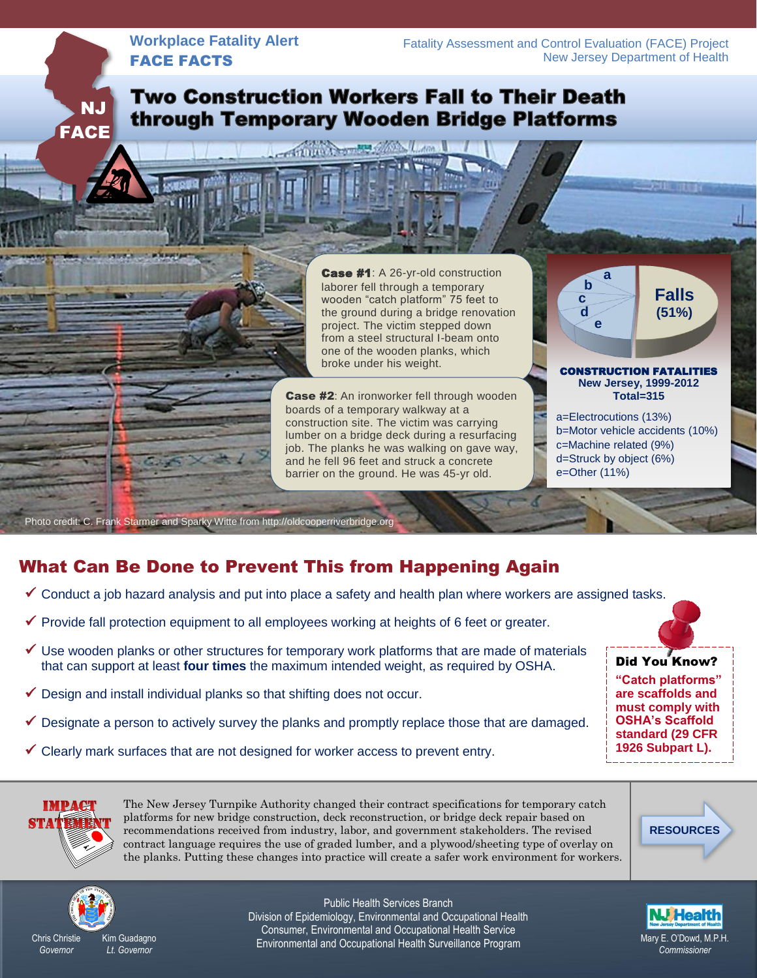### **Workplace Fatality Alert** FACE FACTS

 NJ **FACE** 

# **Two Construction Workers Fall to Their Death** through Temporary Wooden Bridge Platforms

Thun Comers College Linna

Case #1: A 26-yr-old construction laborer fell through a temporary wooden "catch platform" 75 feet to the ground during a bridge renovation project. The victim stepped down from a steel structural I-beam onto one of the wooden planks, which broke under his weight.

**Case #2:** An ironworker fell through wooden boards of a temporary walkway at a construction site. The victim was carrying lumber on a bridge deck during a resurfacing job. The planks he was walking on gave way, and he fell 96 feet and struck a concrete barrier on the ground. He was 45-yr old.

I I CONSTRUCTION FATALITIES **New Jersey, 1999-2012 Falls (51%) b c d e**

Ì

**a**

**Total=315** a=Electrocutions (13%) b=Motor vehicle accidents (10%) c=Machine related (9%) d=Struck by object (6%)

e=Other (11%)

Photo credit: C. Frank Starmer and Sparky Witte from http://oldcooperriverbridge.org

## What Can Be Done to Prevent This from Happening Again

- $\checkmark$  Conduct a job hazard analysis and put into place a safety and health plan where workers are assigned tasks.
- $\checkmark$  Provide fall protection equipment to all employees working at heights of 6 feet or greater.
- $\checkmark$  Use wooden planks or other structures for temporary work platforms that are made of materials that can support at least **four times** the maximum intended weight, as required by OSHA.
- $\checkmark$  Design and install individual planks so that shifting does not occur.
- $\checkmark$  Designate a person to actively survey the planks and promptly replace those that are damaged.
- $\checkmark$  Clearly mark surfaces that are not designed for worker access to prevent entry.

*Governor*

The New Jersey Turnpike Authority changed their contract specifications for temporary catch platforms for new bridge construction, deck reconstruction, or bridge deck repair based on recommendations received from industry, labor, and government stakeholders. The revised contract language requires the use of graded lumber, and a plywood/sheeting type of overlay on the planks. Putting these changes into practice will create a safer work environment for workers.





Chris Christie

Kim Guadagno *Lt. Governor*

Public Health Services Branch Division of Epidemiology, Environmental and Occupational Health Consumer, Environmental and Occupational Health Service Environmental and Occupational Health Surveillance Program Mary E. O'Dowd, M.P.H.



Did You Know?

**"Catch platforms" are scaffolds and must comply with OSHA's Scaffold standard (29 CFR 1926 Subpart L).**